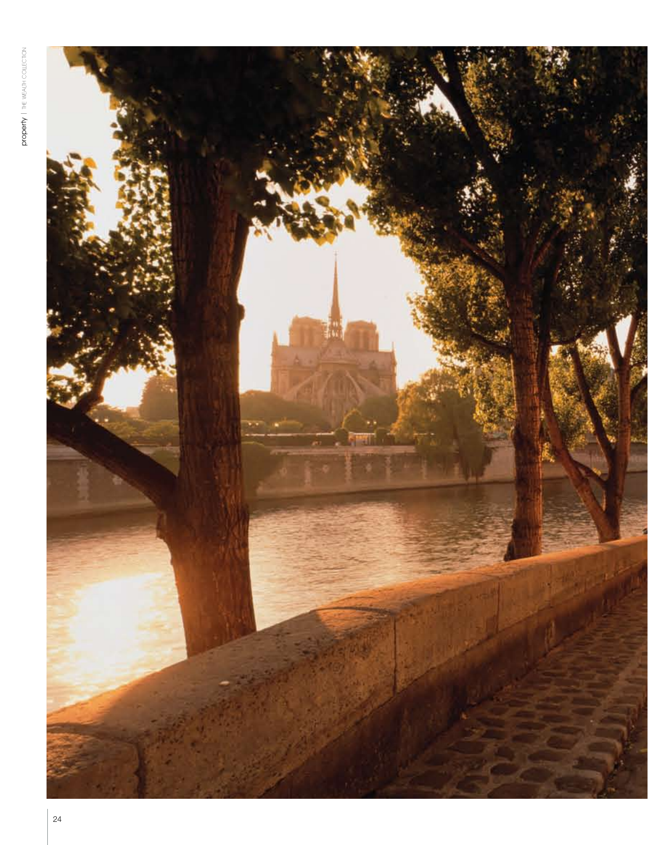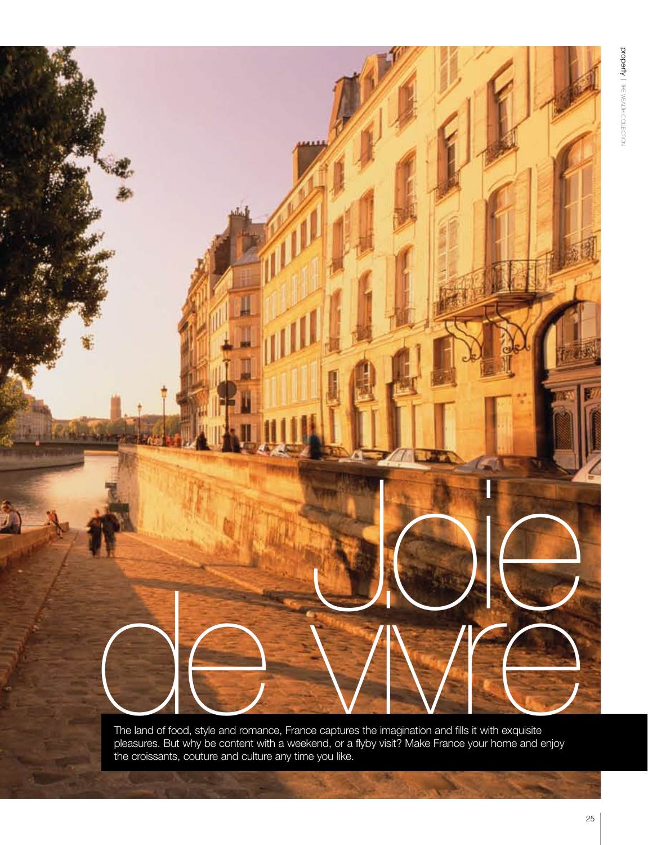

The land of food, style and romance, France captures the imagination and fills it with exquisite pleasures. But why be content with a weekend, or a flyby visit? Make France your home and enjoy the croissants, couture and culture any time you like.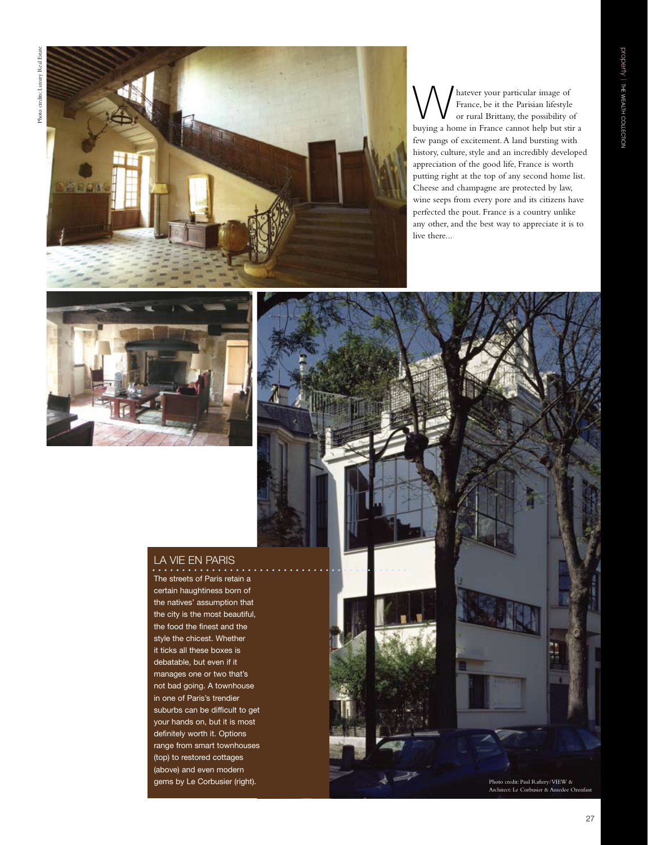

Whatever your particular image of<br>
or rural Brittany, the possibility of<br>
buring a hama in France sound belo but stine France, be it the Parisian lifestyle buying a home in France cannot help but stir a few pangs of excitement. A land bursting with history, culture, style and an incredibly developed appreciation of the good life, France is worth putting right at the top of any second home list. Cheese and champagne are protected by law, wine seeps from every pore and its citizens have perfected the pout. France is a country unlike any other, and the best way to appreciate it is to live there...



#### La vie en Paris

The streets of Paris retain a certain haughtiness born of the natives' assumption that the city is the most beautiful, the food the finest and the style the chicest. Whether it ticks all these boxes is debatable, but even if it manages one or two that's not bad going. A townhouse in one of Paris's trendier suburbs can be difficult to get your hands on, but it is most definitely worth it. Options range from smart townhouses (top) to restored cottages (above) and even modern gems by Le Corbusier (right).

Photo credit: Paul Raftery/VIEW & Architect: Le Corbusier & Amedee Ozenfant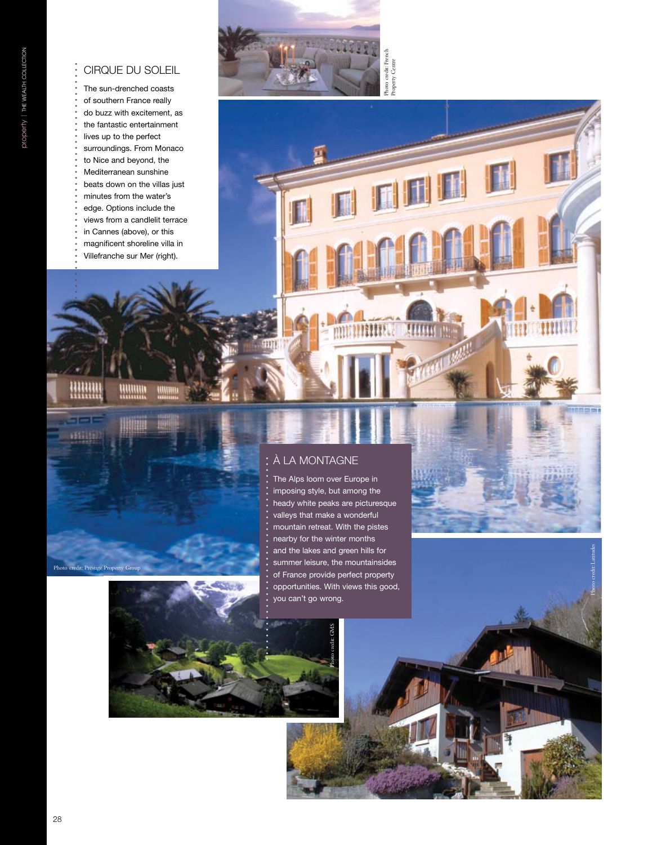### Cirque du soleil

The sun-drenched coasts of southern France really do buzz with excitement, as the fantastic entertainment lives up to the perfect surroundings. From Monaco to Nice and beyond, the Mediterranean sunshine beats down on the villas just minutes from the water's edge. Options include the views from a candlelit terrace in Cannes (above), or this magnificent shoreline villa in Villefranche sur Mer (right).

uuum

地脚

**MINING** 



同国



The Alps loom over Europe in imposing style, but among the heady white peaks are picturesque valleys that make a wonderful mountain retreat. With the pistes nearby for the winter months and the lakes and green hills for summer leisure, the mountainsides of France provide perfect property opportunities. With views this good, you can't go wrong.

Photo credit: GMS



Photo credit: Latitudes



Photo credit: Prestige Property Group

<u>Hillian</u>

**HHHD**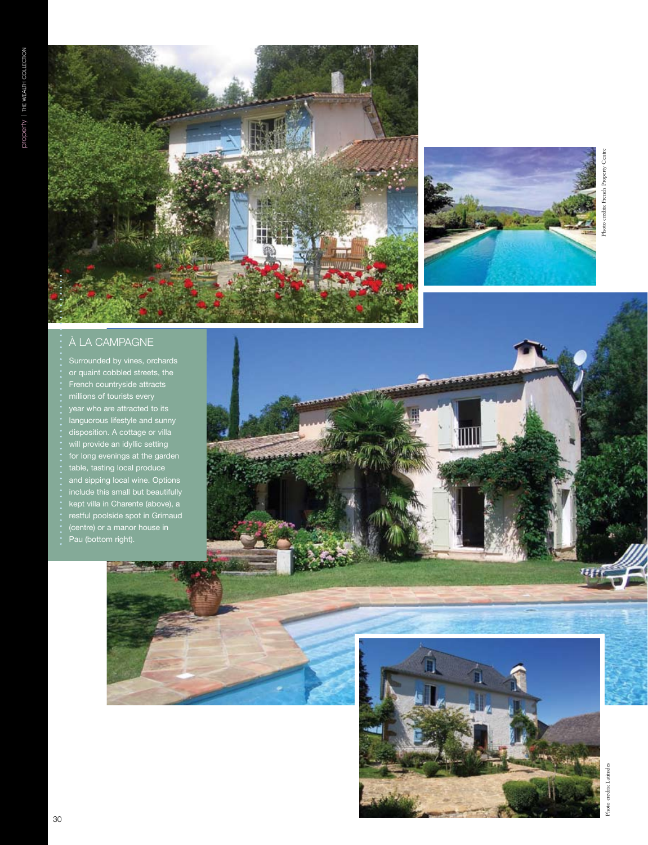



# Photo credits: French Property Centre Photo credits: French Pro

### À LA CAMPAGNE

Surrounded by vines, orchards French countryside attracts year who are attracted to its languorous lifestyle and sunny disposition. A cottage or villa will provide an idyllic setting for long evenings at the garden table, tasting local produce and sipping local wine. Options include this small but beautifully restful poolside spot in Grimaud Pau (bottom right).